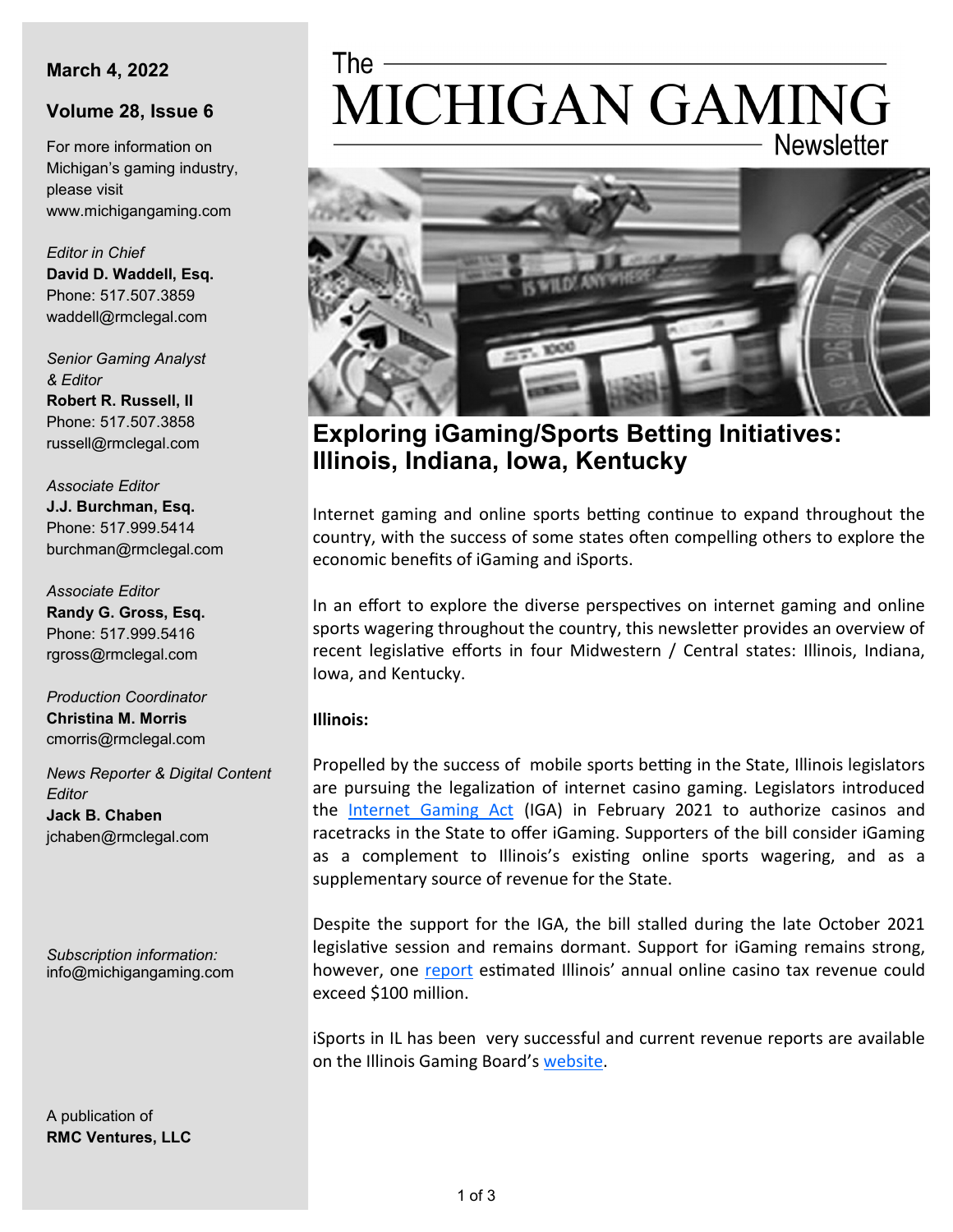# **March 4, 2022**

# **Volume 28, Issue 6**

For more information on Michigan's gaming industry, please visit www.michigangaming.com

*Editor in Chief* **David D. Waddell, Esq.** Phone: 517.507.3859 waddell@rmclegal.com

*Senior Gaming Analyst & Editor* **Robert R. Russell, II**

Phone: 517.507.3858 russell@rmclegal.com

*Associate Editor* **J.J. Burchman, Esq.** Phone: 517.999.5414 burchman@rmclegal.com

*Associate Editor* **Randy G. Gross, Esq.** Phone: 517.999.5416 rgross@rmclegal.com

*Production Coordinator* **Christina M. Morris** cmorris@rmclegal.com

*News Reporter & Digital Content Editor* **Jack B. Chaben** jchaben@rmclegal.com

*Subscription information:* info@michigangaming.com

A publication of **RMC Ventures, LLC**

# MICHIGAN GAMING **Newsletter**



**Exploring iGaming/Sports Betting Initiatives: Illinois, Indiana, Iowa, Kentucky**

Internet gaming and online sports betting continue to expand throughout the country, with the success of some states often compelling others to explore the economic benefits of iGaming and iSports.

In an effort to explore the diverse perspectives on internet gaming and online sports wagering throughout the country, this newsletter provides an overview of recent legislative efforts in four Midwestern / Central states: Illinois, Indiana, Iowa, and Kentucky.

## **Illinois:**

Propelled by the success of mobile sports betting in the State, Illinois legislators are pursuing the legalization of internet casino gaming. Legislators introduced the [Internet Gaming Act](https://trackbill.com/bill/illinois-senate-bill-2064-internet-gaming-act/2052932/) (IGA) in February 2021 to authorize casinos and racetracks in the State to offer iGaming. Supporters of the bill consider iGaming as a complement to Illinois's existing online sports wagering, and as a supplementary source of revenue for the State.

Despite the support for the IGA, the bill stalled during the late October 2021 legislative session and remains dormant. Support for iGaming remains strong, however, one [report](https://cgfa.ilga.gov/Upload/SR0303%20Internet%20Gaming%20in%20Illinois-July%202021.pdf) estimated Illinois' annual online casino tax revenue could exceed \$100 million.

iSports in IL has been very successful and current revenue reports are available on the Illinois Gaming Board's [website.](https://www.igb.illinois.gov/SportsReports.aspx)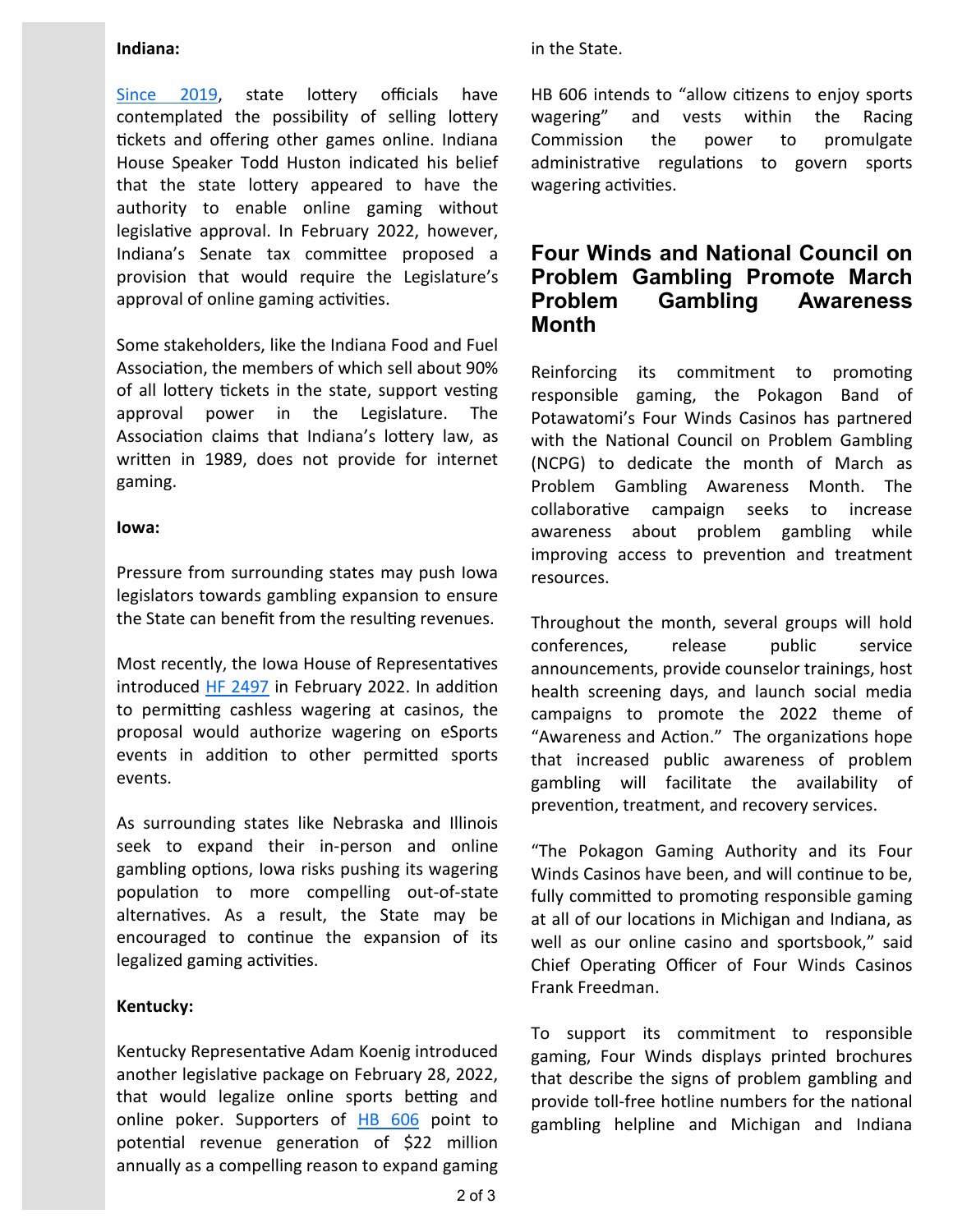#### **Indiana:**

[Since 2019,](https://apnews.com/article/business-lifestyle-indiana-legislature-e9de0eebd698922af26483423b098a89) state lottery officials have contemplated the possibility of selling lottery tickets and offering other games online. Indiana House Speaker Todd Huston indicated his belief that the state lottery appeared to have the authority to enable online gaming without legislative approval. In February 2022, however, Indiana's Senate tax committee proposed a provision that would require the Legislature's approval of online gaming activities.

Some stakeholders, like the Indiana Food and Fuel Association, the members of which sell about 90% of all lottery tickets in the state, support vesting approval power in the Legislature. The Association claims that Indiana's lottery law, as written in 1989, does not provide for internet gaming.

#### **Iowa:**

Pressure from surrounding states may push Iowa legislators towards gambling expansion to ensure the State can benefit from the resulting revenues.

Most recently, the Iowa House of Representatives introduced [HF 2497](https://legiscan.com/IA/bill/HF2497/2021) in February 2022. In addition to permitting cashless wagering at casinos, the proposal would authorize wagering on eSports events in addition to other permitted sports events.

As surrounding states like Nebraska and Illinois seek to expand their in-person and online gambling options, Iowa risks pushing its wagering population to more compelling out-of-state alternatives. As a result, the State may be encouraged to continue the expansion of its legalized gaming activities.

## **Kentucky:**

Kentucky Representative Adam Koenig introduced another legislative package on February 28, 2022, that would legalize online sports betting and online poker. Supporters of [HB 606](https://apps.legislature.ky.gov/record/22rs/hb606.html) point to potential revenue generation of \$22 million annually as a compelling reason to expand gaming

#### in the State.

HB 606 intends to "allow citizens to enjoy sports wagering" and vests within the Racing Commission the power to promulgate administrative regulations to govern sports wagering activities.

# **Four Winds and National Council on Problem Gambling Promote March Problem Gambling Awareness Month**

Reinforcing its commitment to promoting responsible gaming, the Pokagon Band of Potawatomi's Four Winds Casinos has partnered with the National Council on Problem Gambling (NCPG) to dedicate the month of March as Problem Gambling Awareness Month. The collaborative campaign seeks to increase awareness about problem gambling while improving access to prevention and treatment resources.

Throughout the month, several groups will hold conferences, release public service announcements, provide counselor trainings, host health screening days, and launch social media campaigns to promote the 2022 theme of "Awareness and Action." The organizations hope that increased public awareness of problem gambling will facilitate the availability of prevention, treatment, and recovery services.

"The Pokagon Gaming Authority and its Four Winds Casinos have been, and will continue to be, fully committed to promoting responsible gaming at all of our locations in Michigan and Indiana, as well as our online casino and sportsbook," said Chief Operating Officer of Four Winds Casinos Frank Freedman.

To support its commitment to responsible gaming, Four Winds displays printed brochures that describe the signs of problem gambling and provide toll-free hotline numbers for the national gambling helpline and Michigan and Indiana